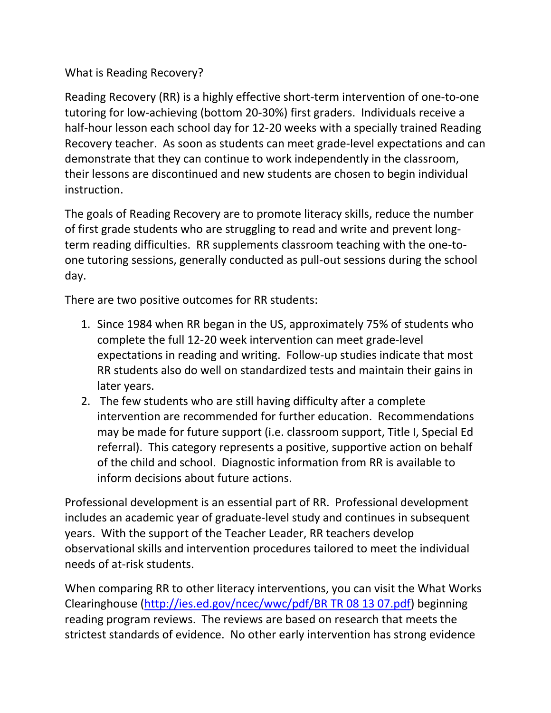## What is Reading Recovery?

Reading Recovery (RR) is a highly effective short-term intervention of one-to-one tutoring for low-achieving (bottom 20-30%) first graders. Individuals receive a half-hour lesson each school day for 12-20 weeks with a specially trained Reading Recovery teacher. As soon as students can meet grade-level expectations and can demonstrate that they can continue to work independently in the classroom, their lessons are discontinued and new students are chosen to begin individual instruction.

The goals of Reading Recovery are to promote literacy skills, reduce the number of first grade students who are struggling to read and write and prevent longterm reading difficulties. RR supplements classroom teaching with the one-toone tutoring sessions, generally conducted as pull-out sessions during the school day.

There are two positive outcomes for RR students:

- 1. Since 1984 when RR began in the US, approximately 75% of students who complete the full 12-20 week intervention can meet grade-level expectations in reading and writing. Follow-up studies indicate that most RR students also do well on standardized tests and maintain their gains in later years.
- 2. The few students who are still having difficulty after a complete intervention are recommended for further education. Recommendations may be made for future support (i.e. classroom support, Title I, Special Ed referral). This category represents a positive, supportive action on behalf of the child and school. Diagnostic information from RR is available to inform decisions about future actions.

Professional development is an essential part of RR. Professional development includes an academic year of graduate-level study and continues in subsequent years. With the support of the Teacher Leader, RR teachers develop observational skills and intervention procedures tailored to meet the individual needs of at-risk students.

When comparing RR to other literacy interventions, you can visit the What Works Clearinghouse [\(http://ies.ed.gov/ncec/wwc/pdf/BR TR 08 13 07.pdf\)](http://ies.ed.gov/ncec/wwc/pdf/BR%20TR%2008%2013%2007.pdf) beginning reading program reviews. The reviews are based on research that meets the strictest standards of evidence. No other early intervention has strong evidence